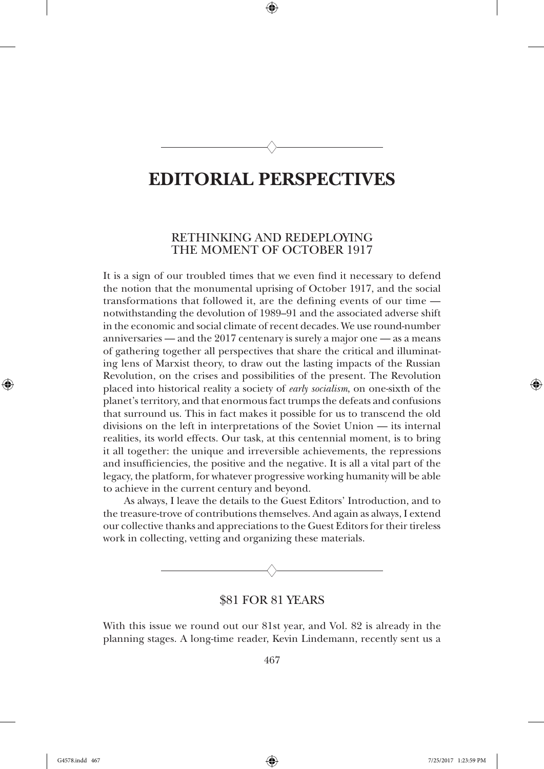# **EDITORIAL PERSPECTIVES**

 $\heartsuit$ 

⊕

# RETHINKING AND REDEPLOYING THE MOMENT OF OCTOBER 1917

It is a sign of our troubled times that we even find it necessary to defend the notion that the monumental uprising of October 1917, and the social transformations that followed it, are the defining events of our time notwithstanding the devolution of 1989–91 and the associated adverse shift in the economic and social climate of recent decades. We use round-number anniversaries — and the 2017 centenary is surely a major one — as a means of gathering together all perspectives that share the critical and illuminating lens of Marxist theory, to draw out the lasting impacts of the Russian Revolution, on the crises and possibilities of the present. The Revolution placed into historical reality a society of *early socialism*, on one-sixth of the planet's territory, and that enormous fact trumps the defeats and confusions that surround us. This in fact makes it possible for us to transcend the old divisions on the left in interpretations of the Soviet Union — its internal realities, its world effects. Our task, at this centennial moment, is to bring it all together: the unique and irreversible achievements, the repressions and insufficiencies, the positive and the negative. It is all a vital part of the legacy, the platform, for whatever progressive working humanity will be able to achieve in the current century and beyond.

As always, I leave the details to the Guest Editors' Introduction, and to the treasure-trove of contributions themselves. And again as always, I extend our collective thanks and appreciations to the Guest Editors for their tireless work in collecting, vetting and organizing these materials.



# \$81 FOR 81 YEARS

With this issue we round out our 81st year, and Vol. 82 is already in the planning stages. A long-time reader, Kevin Lindemann, recently sent us a

467

↔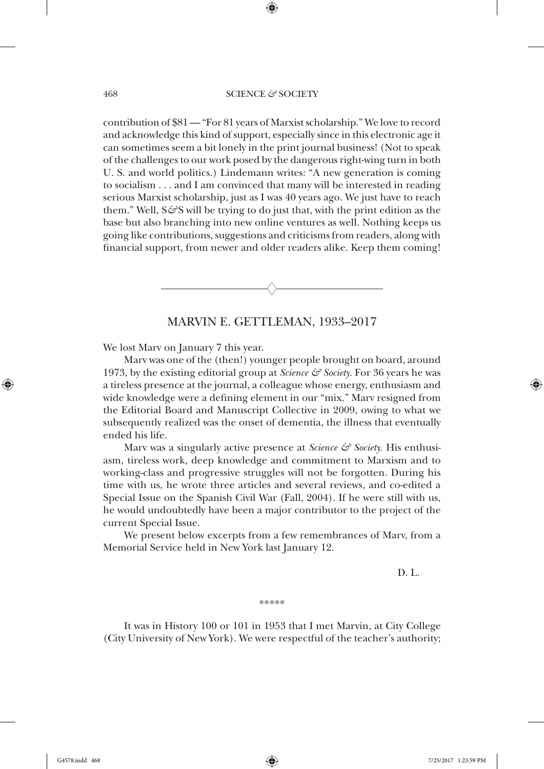⊕

contribution of \$81 — "For 81 years of Marxist scholarship." We love to record and acknowledge this kind of support, especially since in this electronic age it can sometimes seem a bit lonely in the print journal business! (Not to speak of the challenges to our work posed by the dangerous right-wing turn in both U. S. and world politics.) Lindemann writes: "A new generation is coming to socialism . . . and I am convinced that many will be interested in reading serious Marxist scholarship, just as I was 40 years ago. We just have to reach them." Well,  $S\mathcal{S}^s$  will be trying to do just that, with the print edition as the base but also branching into new online ventures as well. Nothing keeps us going like contributions, suggestions and criticisms from readers, along with financial support, from newer and older readers alike. Keep them coming!



# MARVIN E. GETTLEMAN, 1933–2017

We lost Marv on January 7 this year.

Marv was one of the (then!) younger people brought on board, around 1973, by the existing editorial group at *Science & Society*. For 36 years he was a tireless presence at the journal, a colleague whose energy, enthusiasm and wide knowledge were a defining element in our "mix." Marv resigned from the Editorial Board and Manuscript Collective in 2009, owing to what we subsequently realized was the onset of dementia, the illness that eventually ended his life.

Marv was a singularly active presence at *Science* & *Society*. His enthusiasm, tireless work, deep knowledge and commitment to Marxism and to working-class and progressive struggles will not be forgotten. During his time with us, he wrote three articles and several reviews, and co-edited a Special Issue on the Spanish Civil War (Fall, 2004). If he were still with us, he would undoubtedly have been a major contributor to the project of the current Special Issue.

We present below excerpts from a few remembrances of Marv, from a Memorial Service held in New York last January 12.

D. L.

\*\*\*\*\*

It was in History 100 or 101 in 1953 that I met Marvin, at City College (City University of New York). We were respectful of the teacher's authority;

↔

 $\leftrightarrow$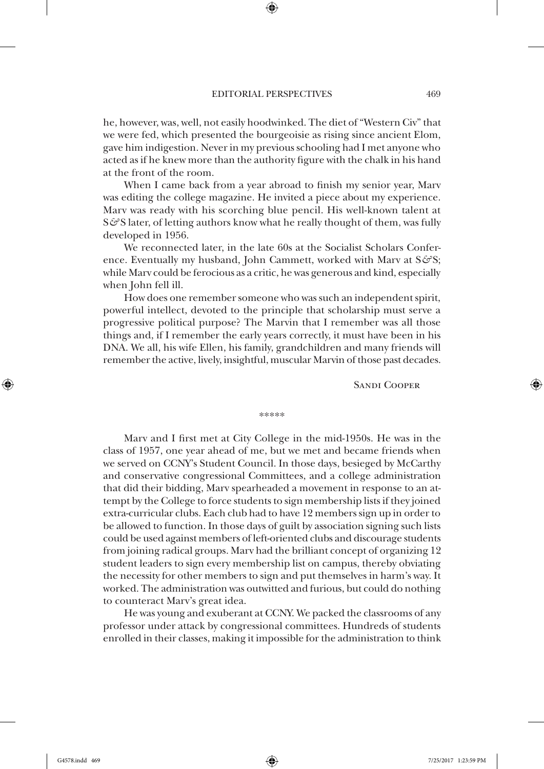#### EDITORIAL PERSPECTIVES 469

⊕

he, however, was, well, not easily hoodwinked. The diet of "Western Civ" that we were fed, which presented the bourgeoisie as rising since ancient Elom, gave him indigestion. Never in my previous schooling had I met anyone who acted as if he knew more than the authority figure with the chalk in his hand at the front of the room.

When I came back from a year abroad to finish my senior year, Marv was editing the college magazine. He invited a piece about my experience. Marv was ready with his scorching blue pencil. His well-known talent at S*&*S later, of letting authors know what he really thought of them, was fully developed in 1956.

We reconnected later, in the late 60s at the Socialist Scholars Conference. Eventually my husband, John Cammett, worked with Marv at S*&*S; while Marv could be ferocious as a critic, he was generous and kind, especially when John fell ill.

How does one remember someone who was such an independent spirit, powerful intellect, devoted to the principle that scholarship must serve a progressive political purpose? The Marvin that I remember was all those things and, if I remember the early years correctly, it must have been in his DNA. We all, his wife Ellen, his family, grandchildren and many friends will remember the active, lively, insightful, muscular Marvin of those past decades.

\*\*\*\*\*

Sandi Cooper

Marv and I first met at City College in the mid-1950s. He was in the class of 1957, one year ahead of me, but we met and became friends when we served on CCNY's Student Council. In those days, besieged by McCarthy and conservative congressional Committees, and a college administration that did their bidding, Marv spearheaded a movement in response to an attempt by the College to force students to sign membership lists if they joined extra-curricular clubs. Each club had to have 12 members sign up in order to be allowed to function. In those days of guilt by association signing such lists could be used against members of left-oriented clubs and discourage students from joining radical groups. Marv had the brilliant concept of organizing 12 student leaders to sign every membership list on campus, thereby obviating the necessity for other members to sign and put themselves in harm's way. It worked. The administration was outwitted and furious, but could do nothing to counteract Marv's great idea.

He was young and exuberant at CCNY. We packed the classrooms of any professor under attack by congressional committees. Hundreds of students enrolled in their classes, making it impossible for the administration to think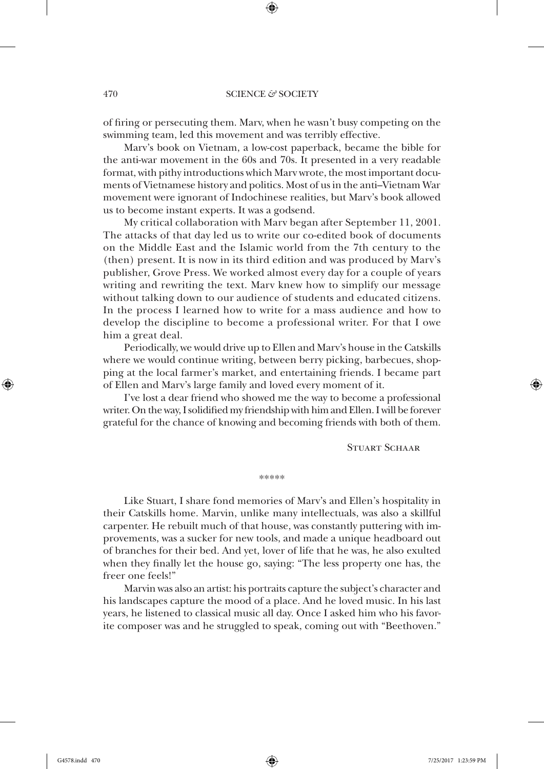⊕

of firing or persecuting them. Marv, when he wasn't busy competing on the swimming team, led this movement and was terribly effective.

Marv's book on Vietnam, a low-cost paperback, became the bible for the anti-war movement in the 60s and 70s. It presented in a very readable format, with pithy introductions which Marv wrote, the most important documents of Vietnamese history and politics. Most of us in the anti–Vietnam War movement were ignorant of Indochinese realities, but Marv's book allowed us to become instant experts. It was a godsend.

My critical collaboration with Marv began after September 11, 2001. The attacks of that day led us to write our co-edited book of documents on the Middle East and the Islamic world from the 7th century to the (then) present. It is now in its third edition and was produced by Marv's publisher, Grove Press. We worked almost every day for a couple of years writing and rewriting the text. Marv knew how to simplify our message without talking down to our audience of students and educated citizens. In the process I learned how to write for a mass audience and how to develop the discipline to become a professional writer. For that I owe him a great deal.

Periodically, we would drive up to Ellen and Marv's house in the Catskills where we would continue writing, between berry picking, barbecues, shopping at the local farmer's market, and entertaining friends. I became part of Ellen and Marv's large family and loved every moment of it.

I've lost a dear friend who showed me the way to become a professional writer. On the way, I solidified my friendship with him and Ellen. I will be forever grateful for the chance of knowing and becoming friends with both of them.

STUART SCHAAR

Like Stuart, I share fond memories of Marv's and Ellen's hospitality in their Catskills home. Marvin, unlike many intellectuals, was also a skillful carpenter. He rebuilt much of that house, was constantly puttering with improvements, was a sucker for new tools, and made a unique headboard out of branches for their bed. And yet, lover of life that he was, he also exulted when they finally let the house go, saying: "The less property one has, the freer one feels!"

\*\*\*\*\*

Marvin was also an artist: his portraits capture the subject's character and his landscapes capture the mood of a place. And he loved music. In his last years, he listened to classical music all day. Once I asked him who his favorite composer was and he struggled to speak, coming out with "Beethoven."

⊕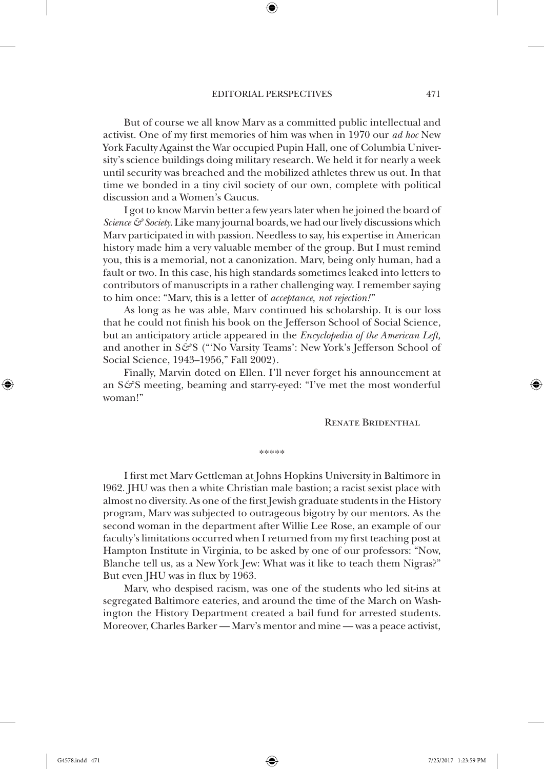#### EDITORIAL PERSPECTIVES 471

⊕

But of course we all know Marv as a committed public intellectual and activist. One of my first memories of him was when in 1970 our *ad hoc* New York Faculty Against the War occupied Pupin Hall, one of Columbia University's science buildings doing military research. We held it for nearly a week until security was breached and the mobilized athletes threw us out. In that time we bonded in a tiny civil society of our own, complete with political discussion and a Women's Caucus.

I got to know Marvin better a few years later when he joined the board of *Science & Society.* Like many journal boards, we had our lively discussions which Marv participated in with passion. Needless to say, his expertise in American history made him a very valuable member of the group. But I must remind you, this is a memorial, not a canonization. Marv, being only human, had a fault or two. In this case, his high standards sometimes leaked into letters to contributors of manuscripts in a rather challenging way. I remember saying to him once: "Marv, this is a letter of *acceptance, not rejection!* "

As long as he was able, Marv continued his scholarship. It is our loss that he could not finish his book on the Jefferson School of Social Science, but an anticipatory article appeared in the *Encyclopedia of the American Left,* and another in S&S ("'No Varsity Teams': New York's Jefferson School of Social Science, 1943–1956," Fall 2002).

Finally, Marvin doted on Ellen. I'll never forget his announcement at an S*&*S meeting, beaming and starry-eyed: "I've met the most wonderful woman!"

RENATE BRIDENTHAL

\*\*\*\*\*

I first met Marv Gettleman at Johns Hopkins University in Baltimore in l962. JHU was then a white Christian male bastion; a racist sexist place with almost no diversity. As one of the first Jewish graduate students in the History program, Marv was subjected to outrageous bigotry by our mentors. As the second woman in the department after Willie Lee Rose, an example of our faculty's limitations occurred when I returned from my first teaching post at Hampton Institute in Virginia, to be asked by one of our professors: "Now, Blanche tell us, as a New York Jew: What was it like to teach them Nigras?" But even JHU was in flux by 1963.

Marv, who despised racism, was one of the students who led sit-ins at segregated Baltimore eateries, and around the time of the March on Washington the History Department created a bail fund for arrested students. Moreover, Charles Barker — Marv's mentor and mine — was a peace activist,

⊕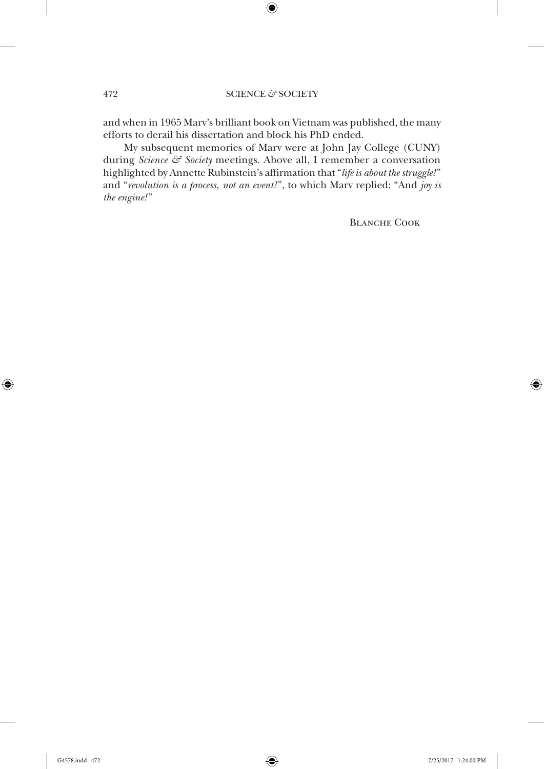$\bigoplus$ 

and when in 1965 Marv's brilliant book on Vietnam was published, the many efforts to derail his dissertation and block his PhD ended.

My subsequent memories of Marv were at John Jay College (CUNY) during *Science & Society* meetings. Above all, I remember a conversation highlighted by Annette Rubinstein's affirmation that "*life is about the struggle!* " and "*revolution is a process, not an event!* ", to which Marv replied: "And *joy is the engine!* "

**BLANCHE COOK** 

 $\bigoplus$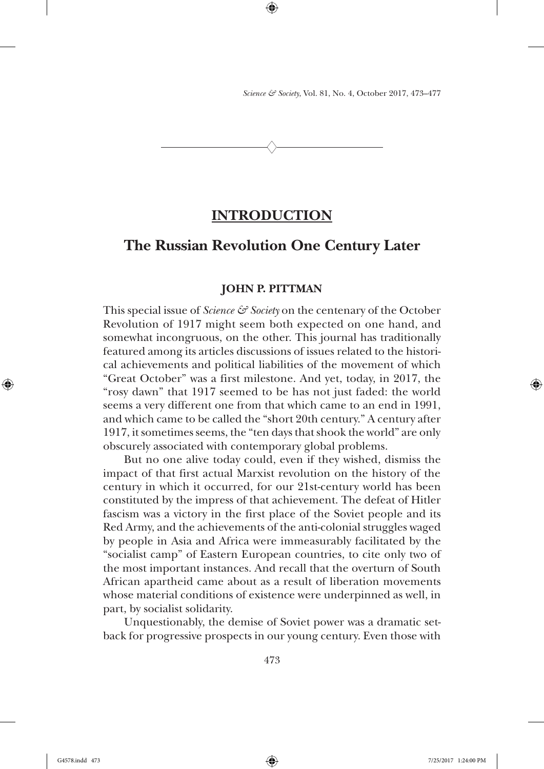*Science & Society*, Vol. 81, No. 4, October 2017, 473–477

 $\heartsuit$ 

⊕

# **INTRODUCTION**

# **The Russian Revolution One Century Later**

# **JOHN P. PITTMAN**

This special issue of *Science & Society* on the centenary of the October Revolution of 1917 might seem both expected on one hand, and somewhat incongruous, on the other. This journal has traditionally featured among its articles discussions of issues related to the historical achievements and political liabilities of the movement of which "Great October" was a first milestone. And yet, today, in 2017, the "rosy dawn" that 1917 seemed to be has not just faded: the world seems a very different one from that which came to an end in 1991, and which came to be called the "short 20th century." A century after 1917, it sometimes seems, the "ten days that shook the world" are only obscurely associated with contemporary global problems.

But no one alive today could, even if they wished, dismiss the impact of that first actual Marxist revolution on the history of the century in which it occurred, for our 21st-century world has been constituted by the impress of that achievement. The defeat of Hitler fascism was a victory in the first place of the Soviet people and its Red Army, and the achievements of the anti-colonial struggles waged by people in Asia and Africa were immeasurably facilitated by the "socialist camp" of Eastern European countries, to cite only two of the most important instances. And recall that the overturn of South African apartheid came about as a result of liberation movements whose material conditions of existence were underpinned as well, in part, by socialist solidarity.

Unquestionably, the demise of Soviet power was a dramatic setback for progressive prospects in our young century. Even those with

↔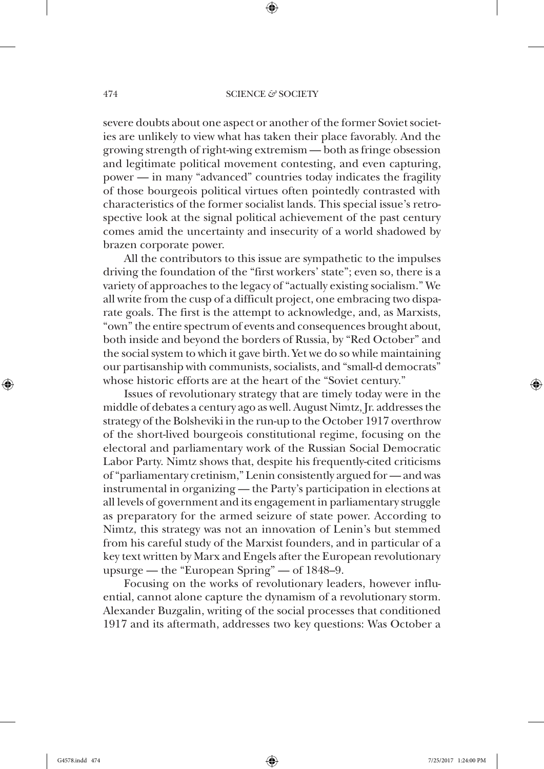⊕

severe doubts about one aspect or another of the former Soviet societies are unlikely to view what has taken their place favorably. And the growing strength of right-wing extremism — both as fringe obsession and legitimate political movement contesting, and even capturing, power — in many "advanced" countries today indicates the fragility of those bourgeois political virtues often pointedly contrasted with characteristics of the former socialist lands. This special issue's retrospective look at the signal political achievement of the past century comes amid the uncertainty and insecurity of a world shadowed by brazen corporate power.

All the contributors to this issue are sympathetic to the impulses driving the foundation of the "first workers' state"; even so, there is a variety of approaches to the legacy of "actually existing socialism." We all write from the cusp of a difficult project, one embracing two disparate goals. The first is the attempt to acknowledge, and, as Marxists, "own" the entire spectrum of events and consequences brought about, both inside and beyond the borders of Russia, by "Red October" and the social system to which it gave birth. Yet we do so while maintaining our partisanship with communists, socialists, and "small-d democrats" whose historic efforts are at the heart of the "Soviet century."

Issues of revolutionary strategy that are timely today were in the middle of debates a century ago as well. August Nimtz, Jr. addresses the strategy of the Bolsheviki in the run-up to the October 1917 overthrow of the short-lived bourgeois constitutional regime, focusing on the electoral and parliamentary work of the Russian Social Democratic Labor Party. Nimtz shows that, despite his frequently-cited criticisms of "parliamentary cretinism," Lenin consistently argued for — and was instrumental in organizing — the Party's participation in elections at all levels of government and its engagement in parliamentary struggle as preparatory for the armed seizure of state power. According to Nimtz, this strategy was not an innovation of Lenin's but stemmed from his careful study of the Marxist founders, and in particular of a key text written by Marx and Engels after the European revolutionary upsurge — the "European Spring" — of 1848–9.

Focusing on the works of revolutionary leaders, however influential, cannot alone capture the dynamism of a revolutionary storm. Alexander Buzgalin, writing of the social processes that conditioned 1917 and its aftermath, addresses two key questions: Was October a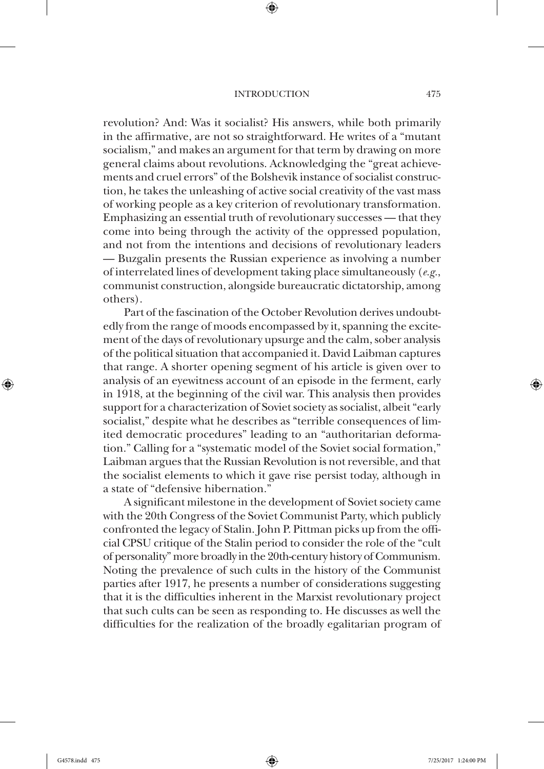## INTRODUCTION 475

⊕

revolution? And: Was it socialist? His answers, while both primarily in the affirmative, are not so straightforward. He writes of a "mutant socialism," and makes an argument for that term by drawing on more general claims about revolutions. Acknowledging the "great achievements and cruel errors" of the Bolshevik instance of socialist construction, he takes the unleashing of active social creativity of the vast mass of working people as a key criterion of revolutionary transformation. Emphasizing an essential truth of revolutionary successes — that they come into being through the activity of the oppressed population, and not from the intentions and decisions of revolutionary leaders — Buzgalin presents the Russian experience as involving a number of interrelated lines of development taking place simultaneously (*e.g.*, communist construction, alongside bureaucratic dictatorship, among others).

Part of the fascination of the October Revolution derives undoubtedly from the range of moods encompassed by it, spanning the excitement of the days of revolutionary upsurge and the calm, sober analysis of the political situation that accompanied it. David Laibman captures that range. A shorter opening segment of his article is given over to analysis of an eyewitness account of an episode in the ferment, early in 1918, at the beginning of the civil war. This analysis then provides support for a characterization of Soviet society as socialist, albeit "early socialist," despite what he describes as "terrible consequences of limited democratic procedures" leading to an "authoritarian deformation." Calling for a "systematic model of the Soviet social formation," Laibman argues that the Russian Revolution is not reversible, and that the socialist elements to which it gave rise persist today, although in a state of "defensive hibernation."

A significant milestone in the development of Soviet society came with the 20th Congress of the Soviet Communist Party, which publicly confronted the legacy of Stalin. John P. Pittman picks up from the official CPSU critique of the Stalin period to consider the role of the "cult of personality" more broadly in the 20th-century history of Communism. Noting the prevalence of such cults in the history of the Communist parties after 1917, he presents a number of considerations suggesting that it is the difficulties inherent in the Marxist revolutionary project that such cults can be seen as responding to. He discusses as well the difficulties for the realization of the broadly egalitarian program of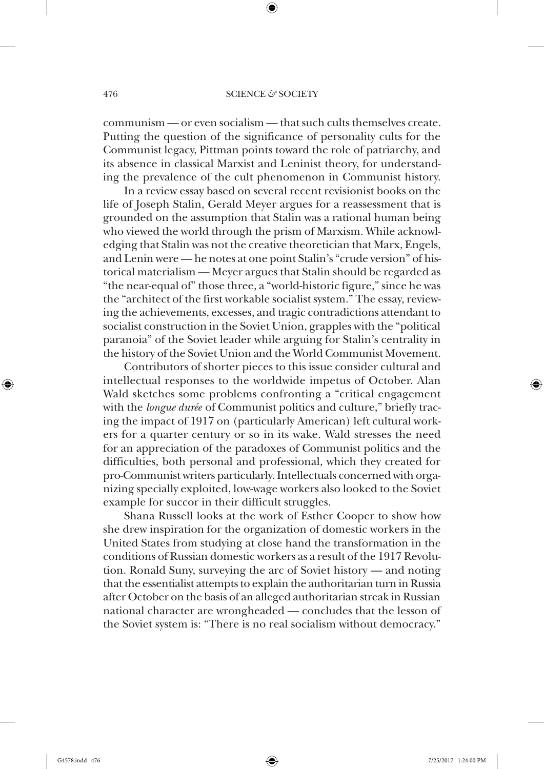⊕

communism — or even socialism — that such cults themselves create. Putting the question of the significance of personality cults for the Communist legacy, Pittman points toward the role of patriarchy, and its absence in classical Marxist and Leninist theory, for understanding the prevalence of the cult phenomenon in Communist history.

In a review essay based on several recent revisionist books on the life of Joseph Stalin, Gerald Meyer argues for a reassessment that is grounded on the assumption that Stalin was a rational human being who viewed the world through the prism of Marxism. While acknowledging that Stalin was not the creative theoretician that Marx, Engels, and Lenin were — he notes at one point Stalin's "crude version" of historical materialism — Meyer argues that Stalin should be regarded as "the near-equal of" those three, a "world-historic figure," since he was the "architect of the first workable socialist system." The essay, reviewing the achievements, excesses, and tragic contradictions attendant to socialist construction in the Soviet Union, grapples with the "political paranoia" of the Soviet leader while arguing for Stalin's centrality in the history of the Soviet Union and the World Communist Movement.

Contributors of shorter pieces to this issue consider cultural and intellectual responses to the worldwide impetus of October. Alan Wald sketches some problems confronting a "critical engagement with the *longue durée* of Communist politics and culture," briefly tracing the impact of 1917 on (particularly American) left cultural workers for a quarter century or so in its wake. Wald stresses the need for an appreciation of the paradoxes of Communist politics and the difficulties, both personal and professional, which they created for pro-Communist writers particularly. Intellectuals concerned with organizing specially exploited, low-wage workers also looked to the Soviet example for succor in their difficult struggles.

Shana Russell looks at the work of Esther Cooper to show how she drew inspiration for the organization of domestic workers in the United States from studying at close hand the transformation in the conditions of Russian domestic workers as a result of the 1917 Revolution. Ronald Suny, surveying the arc of Soviet history — and noting that the essentialist attempts to explain the authoritarian turn in Russia after October on the basis of an alleged authoritarian streak in Russian national character are wrongheaded — concludes that the lesson of the Soviet system is: "There is no real socialism without democracy."